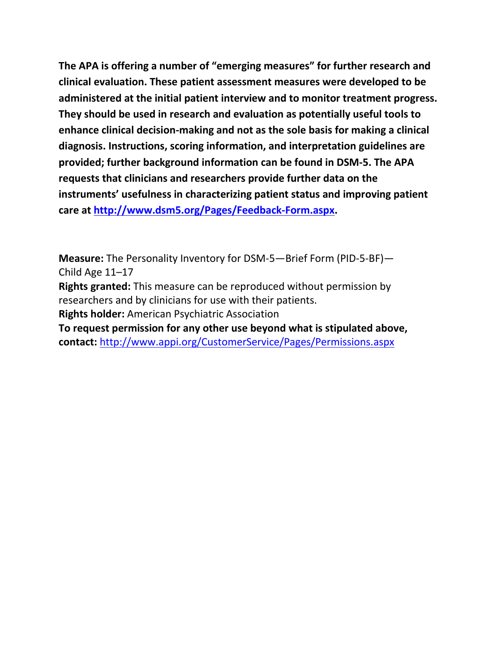**The APA is offering a number of "emerging measures" for further research and clinical evaluation. These patient assessment measures were developed to be administered at the initial patient interview and to monitor treatment progress. They should be used in research and evaluation as potentially useful tools to enhance clinical decision-making and not as the sole basis for making a clinical diagnosis. Instructions, scoring information, and interpretation guidelines are provided; further background information can be found in DSM-5. The APA requests that clinicians and researchers provide further data on the instruments' usefulness in characterizing patient status and improving patient care at [http://www.dsm5.org/Pages/Feedback-Form.aspx.](http://www.dsm5.org/Pages/Feedback-Form.aspx)**

**Measure:** The Personality Inventory for DSM-5—Brief Form (PID-5-BF)— Child Age 11–17

**Rights granted:** This measure can be reproduced without permission by researchers and by clinicians for use with their patients.

**Rights holder:** American Psychiatric Association

**To request permission for any other use beyond what is stipulated above, contact:** <http://www.appi.org/CustomerService/Pages/Permissions.aspx>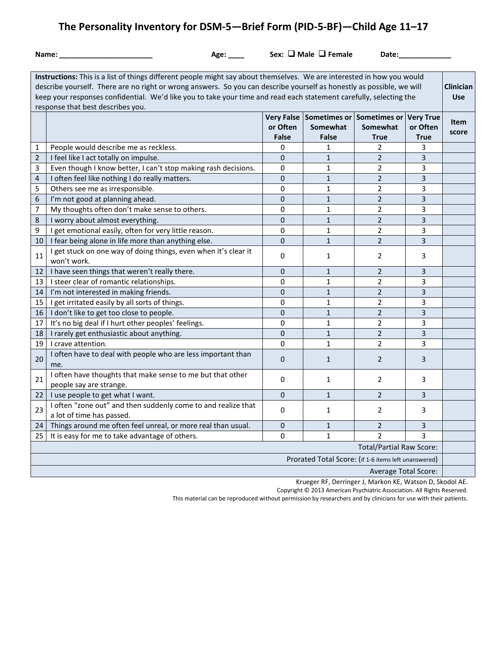# **The Personality Inventory for DSM-5—Brief Form (PID-5-BF)—Child Age 11–17**

| . .<br>× | M.<br>۰. |  |
|----------|----------|--|

Age: \_\_\_\_\_\_\_\_\_\_\_\_\_\_\_ Sex: □ Male □ Female Date: \_\_\_\_\_\_\_\_\_\_\_\_\_\_\_

| Instructions: This is a list of things different people might say about themselves. We are interested in how you would<br>describe yourself. There are no right or wrong answers. So you can describe yourself as honestly as possible, we will<br>keep your responses confidential. We'd like you to take your time and read each statement carefully, selecting the<br>response that best describes you. |                                                                                            |                          |                          |                                                                 |                                             |                      |
|------------------------------------------------------------------------------------------------------------------------------------------------------------------------------------------------------------------------------------------------------------------------------------------------------------------------------------------------------------------------------------------------------------|--------------------------------------------------------------------------------------------|--------------------------|--------------------------|-----------------------------------------------------------------|---------------------------------------------|----------------------|
|                                                                                                                                                                                                                                                                                                                                                                                                            |                                                                                            | or Often<br><b>False</b> | Somewhat<br><b>False</b> | Very False Sometimes or Sometimes or<br>Somewhat<br><b>True</b> | <b>Very True</b><br>or Often<br><b>True</b> | <b>Item</b><br>score |
| 1                                                                                                                                                                                                                                                                                                                                                                                                          | People would describe me as reckless.                                                      | 0                        | 1                        | 2                                                               | 3                                           |                      |
| $\overline{2}$                                                                                                                                                                                                                                                                                                                                                                                             | I feel like I act totally on impulse.                                                      | 0                        | $\mathbf{1}$             | $\overline{2}$                                                  | 3                                           |                      |
| 3                                                                                                                                                                                                                                                                                                                                                                                                          | Even though I know better, I can't stop making rash decisions.                             | 0                        | 1                        | $\overline{2}$                                                  | 3                                           |                      |
| $\overline{\mathbf{4}}$                                                                                                                                                                                                                                                                                                                                                                                    | I often feel like nothing I do really matters.                                             | $\mathbf 0$              | $\mathbf{1}$             | $\overline{2}$                                                  | $\overline{\mathbf{3}}$                     |                      |
| 5                                                                                                                                                                                                                                                                                                                                                                                                          | Others see me as irresponsible.                                                            | $\Omega$                 | $\mathbf{1}$             | $\overline{2}$                                                  | 3                                           |                      |
| 6                                                                                                                                                                                                                                                                                                                                                                                                          | I'm not good at planning ahead.                                                            | $\overline{0}$           | $\mathbf{1}$             | $\overline{2}$                                                  | $\overline{3}$                              |                      |
| 7                                                                                                                                                                                                                                                                                                                                                                                                          | My thoughts often don't make sense to others.                                              | $\mathbf 0$              | 1                        | $\overline{2}$                                                  | 3                                           |                      |
| 8                                                                                                                                                                                                                                                                                                                                                                                                          | I worry about almost everything.                                                           | 0                        | $\mathbf{1}$             | $\overline{2}$                                                  | 3                                           |                      |
| 9                                                                                                                                                                                                                                                                                                                                                                                                          | I get emotional easily, often for very little reason.                                      | 0                        | 1                        | $\overline{2}$                                                  | 3                                           |                      |
| 10                                                                                                                                                                                                                                                                                                                                                                                                         | I fear being alone in life more than anything else.                                        | 0                        | $\mathbf{1}$             | $\overline{2}$                                                  | $\overline{3}$                              |                      |
| 11                                                                                                                                                                                                                                                                                                                                                                                                         | I get stuck on one way of doing things, even when it's clear it<br>won't work.             | 0                        | 1                        | $\overline{2}$                                                  | 3                                           |                      |
| 12                                                                                                                                                                                                                                                                                                                                                                                                         | I have seen things that weren't really there.                                              | $\mathbf 0$              | $\mathbf{1}$             | $\overline{2}$                                                  | 3                                           |                      |
| 13                                                                                                                                                                                                                                                                                                                                                                                                         | I steer clear of romantic relationships.                                                   | 0                        | $\mathbf{1}$             | $\overline{2}$                                                  | 3                                           |                      |
| 14                                                                                                                                                                                                                                                                                                                                                                                                         | I'm not interested in making friends.                                                      | 0                        | $\mathbf{1}$             | $\overline{2}$                                                  | $\overline{3}$                              |                      |
| 15                                                                                                                                                                                                                                                                                                                                                                                                         | I get irritated easily by all sorts of things.                                             | $\mathbf 0$              | 1                        | $\overline{2}$                                                  | 3                                           |                      |
| 16                                                                                                                                                                                                                                                                                                                                                                                                         | I don't like to get too close to people.                                                   | 0                        | $\mathbf{1}$             | $\overline{2}$                                                  | $\overline{\mathbf{3}}$                     |                      |
| 17                                                                                                                                                                                                                                                                                                                                                                                                         | It's no big deal if I hurt other peoples' feelings.                                        |                          | 1                        | 2                                                               | 3                                           |                      |
| 18                                                                                                                                                                                                                                                                                                                                                                                                         | I rarely get enthusiastic about anything.                                                  | $\mathbf 0$              | $\mathbf{1}$             | $\overline{2}$                                                  | $\overline{\mathbf{3}}$                     |                      |
| 19                                                                                                                                                                                                                                                                                                                                                                                                         | I crave attention.                                                                         | $\mathbf 0$              | $\mathbf{1}$             | $\overline{2}$                                                  | 3                                           |                      |
| 20                                                                                                                                                                                                                                                                                                                                                                                                         | I often have to deal with people who are less important than<br>me.                        | 0                        | $\mathbf{1}$             | $\overline{2}$                                                  | 3                                           |                      |
| 21                                                                                                                                                                                                                                                                                                                                                                                                         | I often have thoughts that make sense to me but that other<br>people say are strange.      | 0                        | 1                        | $\overline{2}$                                                  | 3                                           |                      |
| 22                                                                                                                                                                                                                                                                                                                                                                                                         | I use people to get what I want.                                                           | 0                        | $\mathbf{1}$             | $\overline{2}$                                                  | 3                                           |                      |
| 23                                                                                                                                                                                                                                                                                                                                                                                                         | I often "zone out" and then suddenly come to and realize that<br>a lot of time has passed. | $\mathbf 0$              | 1                        | $\overline{2}$                                                  | 3                                           |                      |
| 24                                                                                                                                                                                                                                                                                                                                                                                                         | Things around me often feel unreal, or more real than usual.                               | $\mathbf 0$              | $\mathbf{1}$             | $\overline{2}$                                                  | 3                                           |                      |
| 25                                                                                                                                                                                                                                                                                                                                                                                                         | It is easy for me to take advantage of others.                                             | 0                        | 1                        | $\overline{2}$                                                  | 3                                           |                      |
| <b>Total/Partial Raw Score:</b>                                                                                                                                                                                                                                                                                                                                                                            |                                                                                            |                          |                          |                                                                 |                                             |                      |
| Prorated Total Score: (if 1-6 items left unanswered)                                                                                                                                                                                                                                                                                                                                                       |                                                                                            |                          |                          |                                                                 |                                             |                      |
| <b>Average Total Score:</b>                                                                                                                                                                                                                                                                                                                                                                                |                                                                                            |                          |                          |                                                                 |                                             |                      |
|                                                                                                                                                                                                                                                                                                                                                                                                            |                                                                                            |                          |                          |                                                                 |                                             |                      |

Krueger RF, Derringer J, Markon KE, Watson D, Skodol AE.

Copyright © 2013 American Psychiatric Association. All Rights Reserved.

This material can be reproduced without permission by researchers and by clinicians for use with their patients.